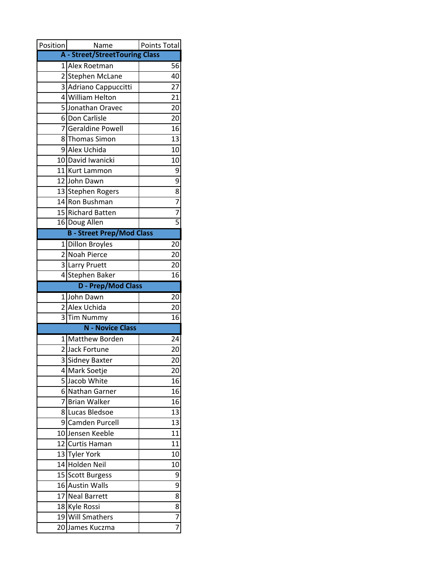| Position                | Name                                   | Points Total                |
|-------------------------|----------------------------------------|-----------------------------|
|                         | <b>A</b> - Street/StreetTouring Class  |                             |
|                         | 1 Alex Roetman                         | 56                          |
|                         | 2 Stephen McLane                       | 40                          |
| $\overline{\mathbf{3}}$ | Adriano Cappuccitti                    | 27                          |
|                         | 4 William Helton                       | 21                          |
|                         | 5 Jonathan Oravec                      | 20                          |
| 6                       | Don Carlisle                           | 20                          |
|                         | 7 Geraldine Powell                     | 16                          |
| 8                       | <b>Thomas Simon</b>                    | 13                          |
|                         | 9 Alex Uchida                          | 10                          |
|                         | 10 David Iwanicki                      | 10                          |
|                         | 11 Kurt Lammon                         | 9                           |
|                         | 12 John Dawn                           | 9                           |
|                         | 13 Stephen Rogers                      |                             |
|                         | 14 Ron Bushman                         |                             |
|                         | 15 Richard Batten                      | $\frac{8}{7} - \frac{7}{5}$ |
|                         | 16 Doug Allen                          |                             |
|                         | <b>B</b> - Street Prep/Mod Class       |                             |
| $1\vert$                | <b>Dillon Broyles</b>                  | 20                          |
|                         | 2 Noah Pierce                          | 20                          |
|                         | 3 Larry Pruett                         | 20                          |
| $\overline{4}$          | <b>Stephen Baker</b>                   | 16                          |
|                         | <b>D</b> - Prep/Mod Class              |                             |
|                         | 1John Dawn                             | 20                          |
| $\overline{2}$          | Alex Uchida                            | 20                          |
|                         | 3 Tim Nummy<br><b>N</b> - Novice Class | 16                          |
|                         |                                        |                             |
| 11                      | <b>Matthew Borden</b>                  | 24                          |
| $\overline{2}$          | <b>Jack Fortune</b>                    | 20                          |
| 3                       | <b>Sidney Baxter</b>                   | 20                          |
| 5                       | 4 Mark Soetje<br>Jacob White           | 20<br>16                    |
|                         | 6 Nathan Garner                        | 16                          |
| 7                       | <b>Brian Walker</b>                    | 16                          |
| 8                       | Lucas Bledsoe                          | 13                          |
| 9                       | Camden Purcell                         | 13                          |
| 10 <sub>l</sub>         | Jensen Keeble                          | 11                          |
|                         | 12 Curtis Haman                        | 11                          |
|                         | 13 Tyler York                          | 10                          |
|                         | 14 Holden Neil                         | 10                          |
|                         | 15 Scott Burgess                       | 9                           |
| 16                      | <b>Austin Walls</b>                    | 9                           |
|                         | 17 Neal Barrett                        | 8                           |
|                         | 18 Kyle Rossi                          | 8                           |
|                         | 19 Will Smathers                       | $\overline{7}$              |
|                         | 20 James Kuczma                        | $\overline{7}$              |
|                         |                                        |                             |